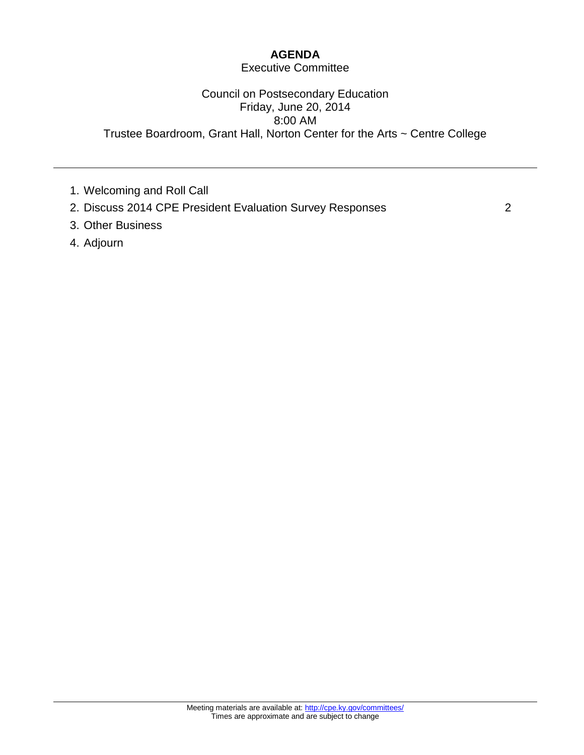## **AGENDA**

#### Executive Committee

#### Council on Postsecondary Education Friday, June 20, 2014 8:00 AM Trustee Boardroom, Grant Hall, Norton Center for the Arts ~ Centre College

- 1. Welcoming and Roll Call
- 2. Discuss 2014 CPE President Evaluation Survey Responses 2
- 3. Other Business
- 4. Adjourn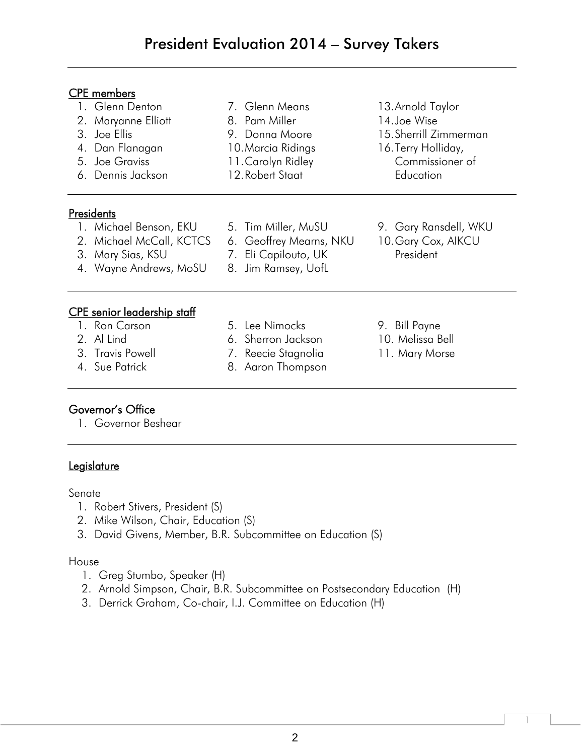7. Glenn Means 8. Pam Miller 9. Donna Moore 10.Marcia Ridings 11.Carolyn Ridley 12.Robert Staat

#### CPE members

- 1. Glenn Denton
- 2. Maryanne Elliott
- 3. Joe Ellis
- 4. Dan Flanagan
- 5. Joe Graviss
- 6. Dennis Jackson

# **Presidents**

- 1. Michael Benson, EKU
- 2. Michael McCall, KCTCS
- 3. Mary Sias, KSU
- 4. Wayne Andrews, MoSU
- 5. Tim Miller, MuSU
- 6. Geoffrey Mearns, NKU 7. Eli Capilouto, UK
- 8. Jim Ramsey, UofL
- 

# CPE senior leadership staff

- 1. Ron Carson
- 2. Al Lind
- 3. Travis Powell
- 4. Sue Patrick
- 5. Lee Nimocks
- 6. Sherron Jackson
- 7. Reecie Stagnolia
- 8. Aaron Thompson
- 13.Arnold Taylor 14.Joe Wise 15.Sherrill Zimmerman
- 16.Terry Holliday, Commissioner of **Education**
- 9. Gary Ransdell, WKU 10.Gary Cox, AIKCU President
- 9. Bill Payne 10. Melissa Bell 11. Mary Morse

1

# Governor's Office

1. Governor Beshear

## **Legislature**

#### Senate

- 1. Robert Stivers, President (S)
- 2. Mike Wilson, Chair, Education (S)
- 3. David Givens, Member, B.R. Subcommittee on Education (S)

#### House

- 1. Greg Stumbo, Speaker (H)
- 2. Arnold Simpson, Chair, B.R. Subcommittee on Postsecondary Education (H)
- 3. Derrick Graham, Co-chair, I.J. Committee on Education (H)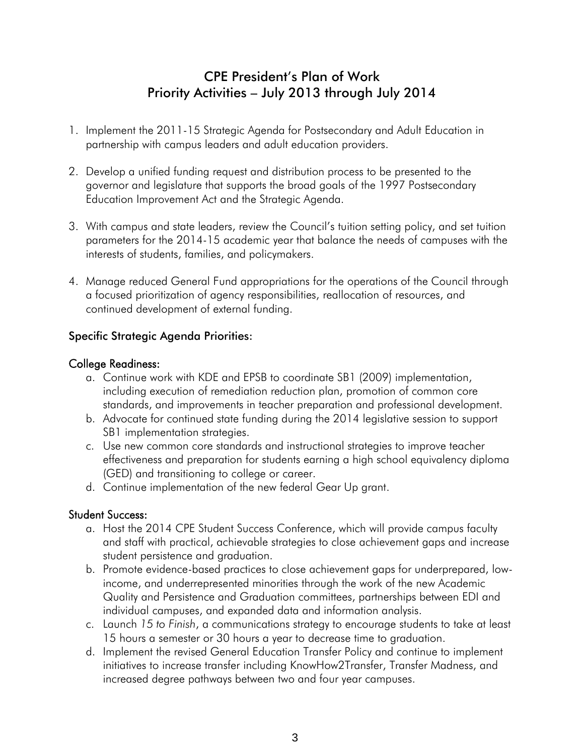# CPE President's Plan of Work Priority Activities – July 2013 through July 2014

- 1. Implement the 2011-15 Strategic Agenda for Postsecondary and Adult Education in partnership with campus leaders and adult education providers.
- 2. Develop a unified funding request and distribution process to be presented to the governor and legislature that supports the broad goals of the 1997 Postsecondary Education Improvement Act and the Strategic Agenda.
- 3. With campus and state leaders, review the Council's tuition setting policy, and set tuition parameters for the 2014-15 academic year that balance the needs of campuses with the interests of students, families, and policymakers.
- 4. Manage reduced General Fund appropriations for the operations of the Council through a focused prioritization of agency responsibilities, reallocation of resources, and continued development of external funding.

## Specific Strategic Agenda Priorities:

## College Readiness:

- a. Continue work with KDE and EPSB to coordinate SB1 (2009) implementation, including execution of remediation reduction plan, promotion of common core standards, and improvements in teacher preparation and professional development.
- b. Advocate for continued state funding during the 2014 legislative session to support SB1 implementation strategies.
- c. Use new common core standards and instructional strategies to improve teacher effectiveness and preparation for students earning a high school equivalency diploma (GED) and transitioning to college or career.
- d. Continue implementation of the new federal Gear Up grant.

## Student Success:

- a. Host the 2014 CPE Student Success Conference, which will provide campus faculty and staff with practical, achievable strategies to close achievement gaps and increase student persistence and graduation.
- b. Promote evidence-based practices to close achievement gaps for underprepared, lowincome, and underrepresented minorities through the work of the new Academic Quality and Persistence and Graduation committees, partnerships between EDI and individual campuses, and expanded data and information analysis.
- c. Launch *15 to Finish*, a communications strategy to encourage students to take at least 15 hours a semester or 30 hours a year to decrease time to graduation.
- d. Implement the revised General Education Transfer Policy and continue to implement initiatives to increase transfer including KnowHow2Transfer, Transfer Madness, and increased degree pathways between two and four year campuses.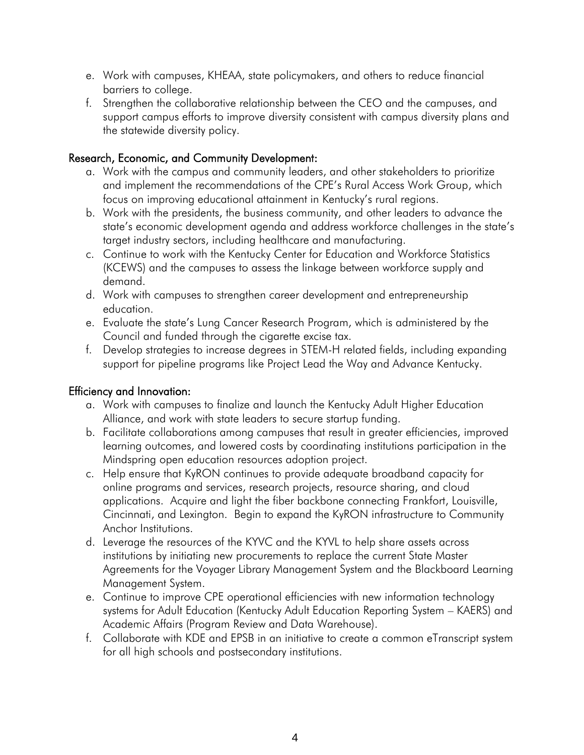- e. Work with campuses, KHEAA, state policymakers, and others to reduce financial barriers to college.
- f. Strengthen the collaborative relationship between the CEO and the campuses, and support campus efforts to improve diversity consistent with campus diversity plans and the statewide diversity policy.

## Research, Economic, and Community Development:

- a. Work with the campus and community leaders, and other stakeholders to prioritize and implement the recommendations of the CPE's Rural Access Work Group, which focus on improving educational attainment in Kentucky's rural regions.
- b. Work with the presidents, the business community, and other leaders to advance the state's economic development agenda and address workforce challenges in the state's target industry sectors, including healthcare and manufacturing.
- c. Continue to work with the Kentucky Center for Education and Workforce Statistics (KCEWS) and the campuses to assess the linkage between workforce supply and demand.
- d. Work with campuses to strengthen career development and entrepreneurship education.
- e. Evaluate the state's Lung Cancer Research Program, which is administered by the Council and funded through the cigarette excise tax.
- f. Develop strategies to increase degrees in STEM-H related fields, including expanding support for pipeline programs like Project Lead the Way and Advance Kentucky.

## Efficiency and Innovation:

- a. Work with campuses to finalize and launch the Kentucky Adult Higher Education Alliance, and work with state leaders to secure startup funding.
- b. Facilitate collaborations among campuses that result in greater efficiencies, improved learning outcomes, and lowered costs by coordinating institutions participation in the Mindspring open education resources adoption project.
- c. Help ensure that KyRON continues to provide adequate broadband capacity for online programs and services, research projects, resource sharing, and cloud applications. Acquire and light the fiber backbone connecting Frankfort, Louisville, Cincinnati, and Lexington. Begin to expand the KyRON infrastructure to Community Anchor Institutions.
- d. Leverage the resources of the KYVC and the KYVL to help share assets across institutions by initiating new procurements to replace the current State Master Agreements for the Voyager Library Management System and the Blackboard Learning Management System.
- e. Continue to improve CPE operational efficiencies with new information technology systems for Adult Education (Kentucky Adult Education Reporting System – KAERS) and Academic Affairs (Program Review and Data Warehouse).
- f. Collaborate with KDE and EPSB in an initiative to create a common eTranscript system for all high schools and postsecondary institutions.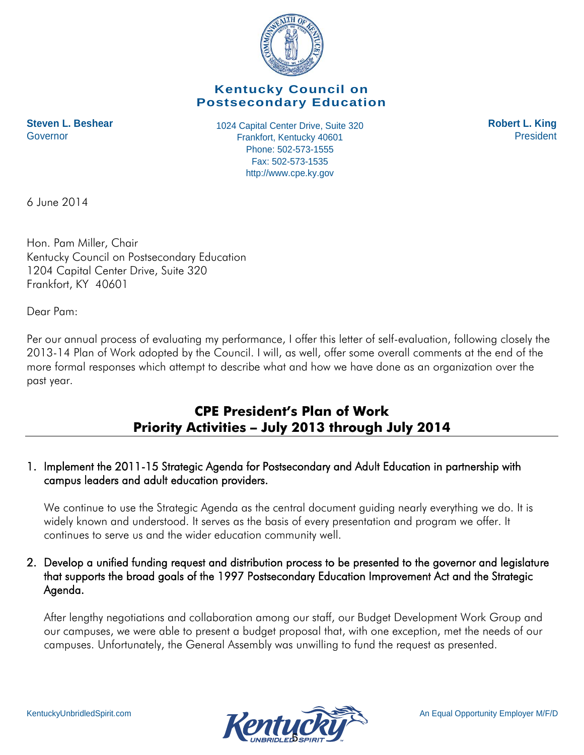

## **Kentucky Council on Postsecondary Education**

1024 Capital Center Drive, Suite 320 **Steven L. Beshear Robert L. King** Frankfort, Kentucky 40601 Governor President Phone: 502-573-1555 Fax: 502-573-1535 http://www.cpe.ky.gov

6 June 2014

Hon. Pam Miller, Chair Kentucky Council on Postsecondary Education 1204 Capital Center Drive, Suite 320 Frankfort, KY 40601

Dear Pam:

Per our annual process of evaluating my performance, I offer this letter of self-evaluation, following closely the 2013-14 Plan of Work adopted by the Council. I will, as well, offer some overall comments at the end of the more formal responses which attempt to describe what and how we have done as an organization over the past year.

# **CPE President's Plan of Work Priority Activities – July 2013 through July 2014**

## 1. Implement the 2011-15 Strategic Agenda for Postsecondary and Adult Education in partnership with campus leaders and adult education providers.

We continue to use the Strategic Agenda as the central document guiding nearly everything we do. It is widely known and understood. It serves as the basis of every presentation and program we offer. It continues to serve us and the wider education community well.

## 2. Develop a unified funding request and distribution process to be presented to the governor and legislature that supports the broad goals of the 1997 Postsecondary Education Improvement Act and the Strategic Agenda.

After lengthy negotiations and collaboration among our staff, our Budget Development Work Group and our campuses, we were able to present a budget proposal that, with one exception, met the needs of our campuses. Unfortunately, the General Assembly was unwilling to fund the request as presented.

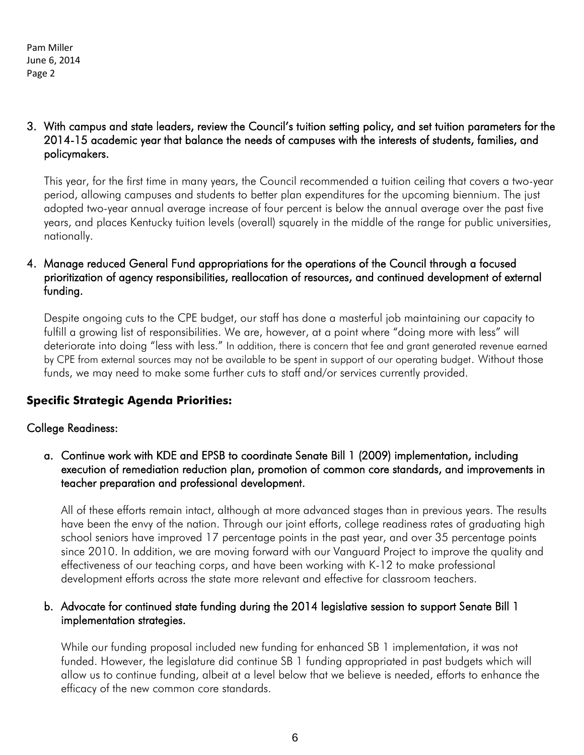3. With campus and state leaders, review the Council's tuition setting policy, and set tuition parameters for the 2014-15 academic year that balance the needs of campuses with the interests of students, families, and policymakers.

This year, for the first time in many years, the Council recommended a tuition ceiling that covers a two-year period, allowing campuses and students to better plan expenditures for the upcoming biennium. The just adopted two-year annual average increase of four percent is below the annual average over the past five years, and places Kentucky tuition levels (overall) squarely in the middle of the range for public universities, nationally.

## 4. Manage reduced General Fund appropriations for the operations of the Council through a focused prioritization of agency responsibilities, reallocation of resources, and continued development of external funding.

Despite ongoing cuts to the CPE budget, our staff has done a masterful job maintaining our capacity to fulfill a growing list of responsibilities. We are, however, at a point where "doing more with less" will deteriorate into doing "less with less." In addition, there is concern that fee and grant generated revenue earned by CPE from external sources may not be available to be spent in support of our operating budget. Without those funds, we may need to make some further cuts to staff and/or services currently provided.

## **Specific Strategic Agenda Priorities:**

## College Readiness:

a. Continue work with KDE and EPSB to coordinate Senate Bill 1 (2009) implementation, including execution of remediation reduction plan, promotion of common core standards, and improvements in teacher preparation and professional development.

All of these efforts remain intact, although at more advanced stages than in previous years. The results have been the envy of the nation. Through our joint efforts, college readiness rates of graduating high school seniors have improved 17 percentage points in the past year, and over 35 percentage points since 2010. In addition, we are moving forward with our Vanguard Project to improve the quality and effectiveness of our teaching corps, and have been working with K-12 to make professional development efforts across the state more relevant and effective for classroom teachers.

## b. Advocate for continued state funding during the 2014 legislative session to support Senate Bill 1 implementation strategies.

While our funding proposal included new funding for enhanced SB 1 implementation, it was not funded. However, the legislature did continue SB 1 funding appropriated in past budgets which will allow us to continue funding, albeit at a level below that we believe is needed, efforts to enhance the efficacy of the new common core standards.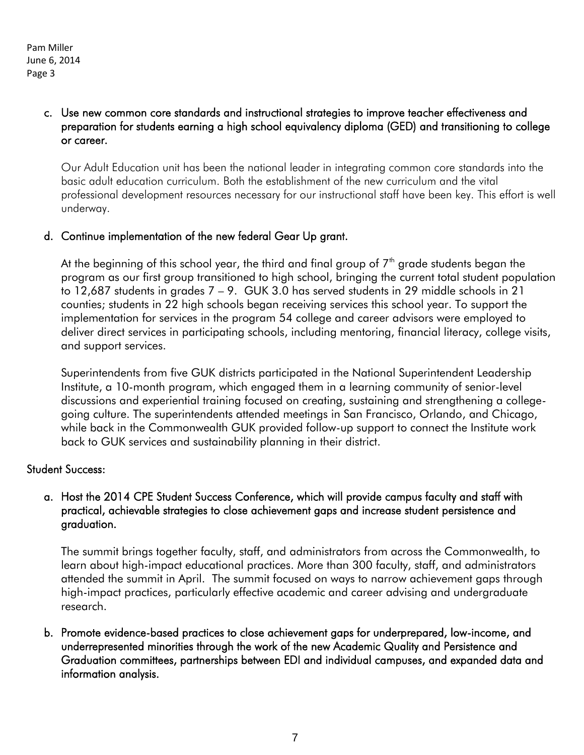### c. Use new common core standards and instructional strategies to improve teacher effectiveness and preparation for students earning a high school equivalency diploma (GED) and transitioning to college or career.

Our Adult Education unit has been the national leader in integrating common core standards into the basic adult education curriculum. Both the establishment of the new curriculum and the vital professional development resources necessary for our instructional staff have been key. This effort is well underway.

## d. Continue implementation of the new federal Gear Up grant.

At the beginning of this school year, the third and final group of  $7<sup>th</sup>$  grade students began the program as our first group transitioned to high school, bringing the current total student population to 12,687 students in grades 7 – 9. GUK 3.0 has served students in 29 middle schools in 21 counties; students in 22 high schools began receiving services this school year. To support the implementation for services in the program 54 college and career advisors were employed to deliver direct services in participating schools, including mentoring, financial literacy, college visits, and support services.

Superintendents from five GUK districts participated in the National Superintendent Leadership Institute, a 10-month program, which engaged them in a learning community of senior-level discussions and experiential training focused on creating, sustaining and strengthening a collegegoing culture. The superintendents attended meetings in San Francisco, Orlando, and Chicago, while back in the Commonwealth GUK provided follow-up support to connect the Institute work back to GUK services and sustainability planning in their district.

## Student Success:

## a. Host the 2014 CPE Student Success Conference, which will provide campus faculty and staff with practical, achievable strategies to close achievement gaps and increase student persistence and graduation.

The summit brings together faculty, staff, and administrators from across the Commonwealth, to learn about high-impact educational practices. More than 300 faculty, staff, and administrators attended the summit in April. The summit focused on ways to narrow achievement gaps through high-impact practices, particularly effective academic and career advising and undergraduate research.

b. Promote evidence-based practices to close achievement gaps for underprepared, low-income, and underrepresented minorities through the work of the new Academic Quality and Persistence and Graduation committees, partnerships between EDI and individual campuses, and expanded data and information analysis.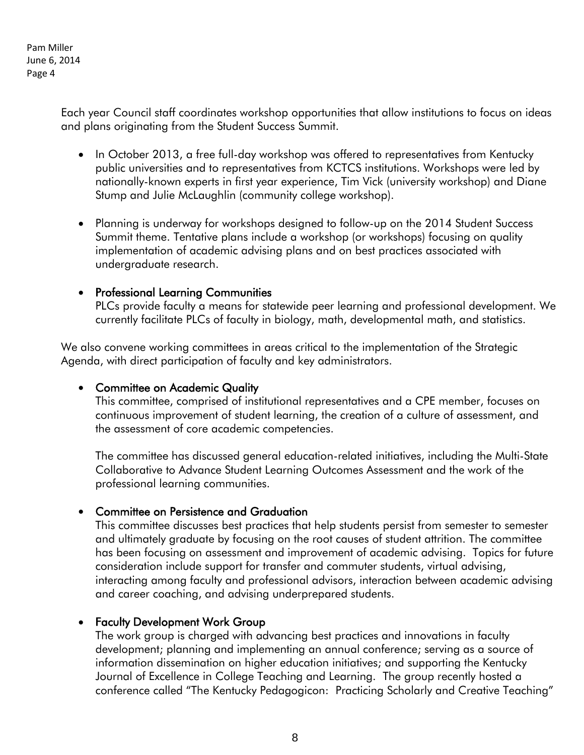> Each year Council staff coordinates workshop opportunities that allow institutions to focus on ideas and plans originating from the Student Success Summit.

- In October 2013, a free full-day workshop was offered to representatives from Kentucky public universities and to representatives from KCTCS institutions. Workshops were led by nationally-known experts in first year experience, Tim Vick (university workshop) and Diane Stump and Julie McLaughlin (community college workshop).
- Planning is underway for workshops designed to follow-up on the 2014 Student Success Summit theme. Tentative plans include a workshop (or workshops) focusing on quality implementation of academic advising plans and on best practices associated with undergraduate research.

#### • Professional Learning Communities

PLCs provide faculty a means for statewide peer learning and professional development. We currently facilitate PLCs of faculty in biology, math, developmental math, and statistics.

We also convene working committees in areas critical to the implementation of the Strategic Agenda, with direct participation of faculty and key administrators.

#### • Committee on Academic Quality

This committee, comprised of institutional representatives and a CPE member, focuses on continuous improvement of student learning, the creation of a culture of assessment, and the assessment of core academic competencies.

The committee has discussed general education-related initiatives, including the Multi-State Collaborative to Advance Student Learning Outcomes Assessment and the work of the professional learning communities.

#### Committee on Persistence and Graduation

This committee discusses best practices that help students persist from semester to semester and ultimately graduate by focusing on the root causes of student attrition. The committee has been focusing on assessment and improvement of academic advising. Topics for future consideration include support for transfer and commuter students, virtual advising, interacting among faculty and professional advisors, interaction between academic advising and career coaching, and advising underprepared students.

## Faculty Development Work Group

The work group is charged with advancing best practices and innovations in faculty development; planning and implementing an annual conference; serving as a source of information dissemination on higher education initiatives; and supporting the Kentucky Journal of Excellence in College Teaching and Learning. The group recently hosted a conference called "The Kentucky Pedagogicon: Practicing Scholarly and Creative Teaching"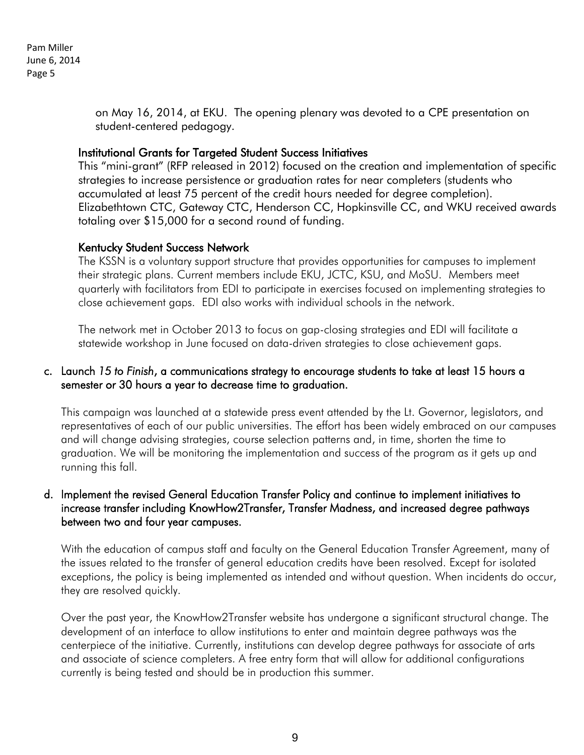> on May 16, 2014, at EKU. The opening plenary was devoted to a CPE presentation on student-centered pedagogy.

#### Institutional Grants for Targeted Student Success Initiatives

This "mini-grant" (RFP released in 2012) focused on the creation and implementation of specific strategies to increase persistence or graduation rates for near completers (students who accumulated at least 75 percent of the credit hours needed for degree completion). Elizabethtown CTC, Gateway CTC, Henderson CC, Hopkinsville CC, and WKU received awards totaling over \$15,000 for a second round of funding.

## Kentucky Student Success Network

The KSSN is a voluntary support structure that provides opportunities for campuses to implement their strategic plans. Current members include EKU, JCTC, KSU, and MoSU. Members meet quarterly with facilitators from EDI to participate in exercises focused on implementing strategies to close achievement gaps. EDI also works with individual schools in the network.

The network met in October 2013 to focus on gap-closing strategies and EDI will facilitate a statewide workshop in June focused on data-driven strategies to close achievement gaps.

### c. Launch *15 to Finish*, a communications strategy to encourage students to take at least 15 hours a semester or 30 hours a year to decrease time to graduation.

This campaign was launched at a statewide press event attended by the Lt. Governor, legislators, and representatives of each of our public universities. The effort has been widely embraced on our campuses and will change advising strategies, course selection patterns and, in time, shorten the time to graduation. We will be monitoring the implementation and success of the program as it gets up and running this fall.

#### d. Implement the revised General Education Transfer Policy and continue to implement initiatives to increase transfer including KnowHow2Transfer, Transfer Madness, and increased degree pathways between two and four year campuses.

With the education of campus staff and faculty on the General Education Transfer Agreement, many of the issues related to the transfer of general education credits have been resolved. Except for isolated exceptions, the policy is being implemented as intended and without question. When incidents do occur, they are resolved quickly.

Over the past year, the KnowHow2Transfer website has undergone a significant structural change. The development of an interface to allow institutions to enter and maintain degree pathways was the centerpiece of the initiative. Currently, institutions can develop degree pathways for associate of arts and associate of science completers. A free entry form that will allow for additional configurations currently is being tested and should be in production this summer.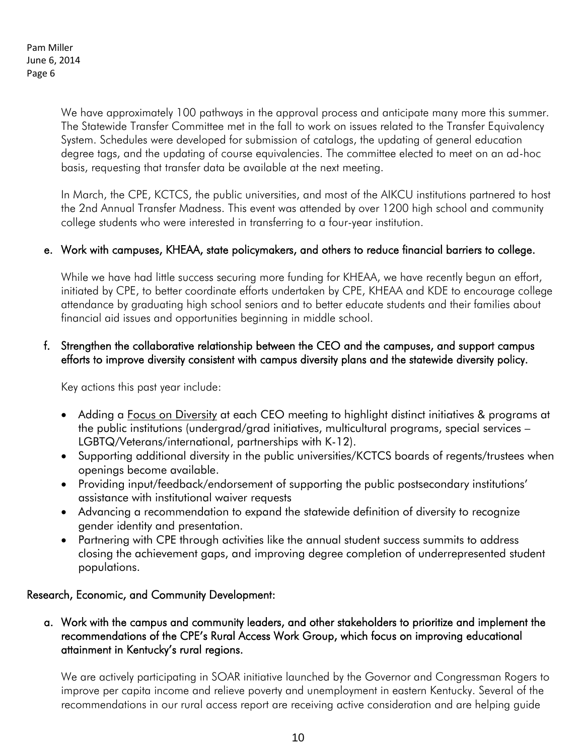> We have approximately 100 pathways in the approval process and anticipate many more this summer. The Statewide Transfer Committee met in the fall to work on issues related to the Transfer Equivalency System. Schedules were developed for submission of catalogs, the updating of general education degree tags, and the updating of course equivalencies. The committee elected to meet on an ad-hoc basis, requesting that transfer data be available at the next meeting.

> In March, the CPE, KCTCS, the public universities, and most of the AIKCU institutions partnered to host the 2nd Annual Transfer Madness. This event was attended by over 1200 high school and community college students who were interested in transferring to a four-year institution.

#### e. Work with campuses, KHEAA, state policymakers, and others to reduce financial barriers to college.

While we have had little success securing more funding for KHEAA, we have recently begun an effort, initiated by CPE, to better coordinate efforts undertaken by CPE, KHEAA and KDE to encourage college attendance by graduating high school seniors and to better educate students and their families about financial aid issues and opportunities beginning in middle school.

#### f. Strengthen the collaborative relationship between the CEO and the campuses, and support campus efforts to improve diversity consistent with campus diversity plans and the statewide diversity policy.

Key actions this past year include:

- Adding a Focus on Diversity at each CEO meeting to highlight distinct initiatives & programs at the public institutions (undergrad/grad initiatives, multicultural programs, special services – LGBTQ/Veterans/international, partnerships with K-12).
- Supporting additional diversity in the public universities/KCTCS boards of regents/trustees when openings become available.
- Providing input/feedback/endorsement of supporting the public postsecondary institutions' assistance with institutional waiver requests
- Advancing a recommendation to expand the statewide definition of diversity to recognize gender identity and presentation.
- Partnering with CPE through activities like the annual student success summits to address closing the achievement gaps, and improving degree completion of underrepresented student populations.

#### Research, Economic, and Community Development:

a. Work with the campus and community leaders, and other stakeholders to prioritize and implement the recommendations of the CPE's Rural Access Work Group, which focus on improving educational attainment in Kentucky's rural regions.

We are actively participating in SOAR initiative launched by the Governor and Congressman Rogers to improve per capita income and relieve poverty and unemployment in eastern Kentucky. Several of the recommendations in our rural access report are receiving active consideration and are helping guide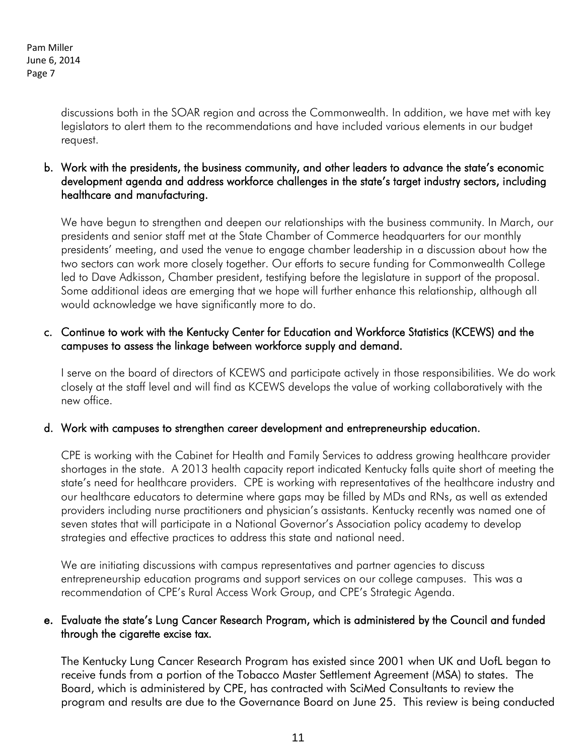discussions both in the SOAR region and across the Commonwealth. In addition, we have met with key legislators to alert them to the recommendations and have included various elements in our budget request.

b. Work with the presidents, the business community, and other leaders to advance the state's economic development agenda and address workforce challenges in the state's target industry sectors, including healthcare and manufacturing.

We have begun to strengthen and deepen our relationships with the business community. In March, our presidents and senior staff met at the State Chamber of Commerce headquarters for our monthly presidents' meeting, and used the venue to engage chamber leadership in a discussion about how the two sectors can work more closely together. Our efforts to secure funding for Commonwealth College led to Dave Adkisson, Chamber president, testifying before the legislature in support of the proposal. Some additional ideas are emerging that we hope will further enhance this relationship, although all would acknowledge we have significantly more to do.

## c. Continue to work with the Kentucky Center for Education and Workforce Statistics (KCEWS) and the campuses to assess the linkage between workforce supply and demand.

I serve on the board of directors of KCEWS and participate actively in those responsibilities. We do work closely at the staff level and will find as KCEWS develops the value of working collaboratively with the new office.

## d. Work with campuses to strengthen career development and entrepreneurship education.

CPE is working with the Cabinet for Health and Family Services to address growing healthcare provider shortages in the state. A 2013 health capacity report indicated Kentucky falls quite short of meeting the state's need for healthcare providers. CPE is working with representatives of the healthcare industry and our healthcare educators to determine where gaps may be filled by MDs and RNs, as well as extended providers including nurse practitioners and physician's assistants. Kentucky recently was named one of seven states that will participate in a National Governor's Association policy academy to develop strategies and effective practices to address this state and national need.

We are initiating discussions with campus representatives and partner agencies to discuss entrepreneurship education programs and support services on our college campuses. This was a recommendation of CPE's Rural Access Work Group, and CPE's Strategic Agenda.

## e. Evaluate the state's Lung Cancer Research Program, which is administered by the Council and funded through the cigarette excise tax.

The Kentucky Lung Cancer Research Program has existed since 2001 when UK and UofL began to receive funds from a portion of the Tobacco Master Settlement Agreement (MSA) to states. The Board, which is administered by CPE, has contracted with SciMed Consultants to review the program and results are due to the Governance Board on June 25. This review is being conducted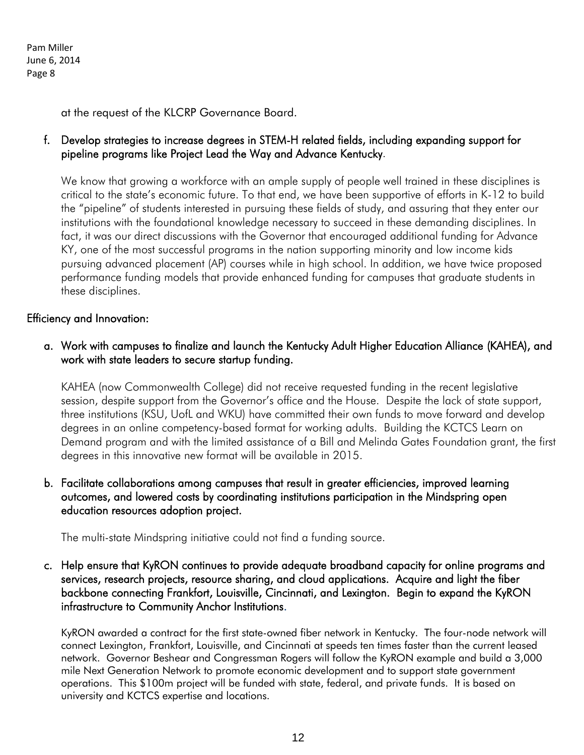at the request of the KLCRP Governance Board.

### f. Develop strategies to increase degrees in STEM-H related fields, including expanding support for pipeline programs like Project Lead the Way and Advance Kentucky.

We know that growing a workforce with an ample supply of people well trained in these disciplines is critical to the state's economic future. To that end, we have been supportive of efforts in K-12 to build the "pipeline" of students interested in pursuing these fields of study, and assuring that they enter our institutions with the foundational knowledge necessary to succeed in these demanding disciplines. In fact, it was our direct discussions with the Governor that encouraged additional funding for Advance KY, one of the most successful programs in the nation supporting minority and low income kids pursuing advanced placement (AP) courses while in high school. In addition, we have twice proposed performance funding models that provide enhanced funding for campuses that graduate students in these disciplines.

#### Efficiency and Innovation:

a. Work with campuses to finalize and launch the Kentucky Adult Higher Education Alliance (KAHEA), and work with state leaders to secure startup funding.

KAHEA (now Commonwealth College) did not receive requested funding in the recent legislative session, despite support from the Governor's office and the House. Despite the lack of state support, three institutions (KSU, UofL and WKU) have committed their own funds to move forward and develop degrees in an online competency-based format for working adults. Building the KCTCS Learn on Demand program and with the limited assistance of a Bill and Melinda Gates Foundation grant, the first degrees in this innovative new format will be available in 2015.

#### b. Facilitate collaborations among campuses that result in greater efficiencies, improved learning outcomes, and lowered costs by coordinating institutions participation in the Mindspring open education resources adoption project.

The multi-state Mindspring initiative could not find a funding source.

c. Help ensure that KyRON continues to provide adequate broadband capacity for online programs and services, research projects, resource sharing, and cloud applications. Acquire and light the fiber backbone connecting Frankfort, Louisville, Cincinnati, and Lexington. Begin to expand the KyRON infrastructure to Community Anchor Institutions.

KyRON awarded a contract for the first state-owned fiber network in Kentucky. The four-node network will connect Lexington, Frankfort, Louisville, and Cincinnati at speeds ten times faster than the current leased network. Governor Beshear and Congressman Rogers will follow the KyRON example and build a 3,000 mile Next Generation Network to promote economic development and to support state government operations. This \$100m project will be funded with state, federal, and private funds. It is based on university and KCTCS expertise and locations.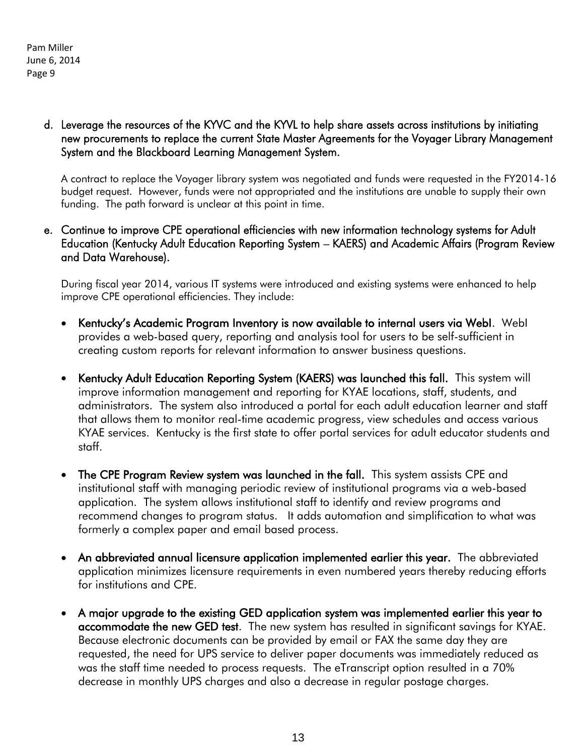#### d. Leverage the resources of the KYVC and the KYVL to help share assets across institutions by initiating new procurements to replace the current State Master Agreements for the Voyager Library Management System and the Blackboard Learning Management System.

A contract to replace the Voyager library system was negotiated and funds were requested in the FY2014-16 budget request. However, funds were not appropriated and the institutions are unable to supply their own funding. The path forward is unclear at this point in time.

#### e. Continue to improve CPE operational efficiencies with new information technology systems for Adult Education (Kentucky Adult Education Reporting System – KAERS) and Academic Affairs (Program Review and Data Warehouse).

During fiscal year 2014, various IT systems were introduced and existing systems were enhanced to help improve CPE operational efficiencies. They include:

- Kentucky's Academic Program Inventory is now available to internal users via WebI. WebI provides a web-based query, reporting and analysis tool for users to be self-sufficient in creating custom reports for relevant information to answer business questions.
- Kentucky Adult Education Reporting System (KAERS) was launched this fall. This system will improve information management and reporting for KYAE locations, staff, students, and administrators. The system also introduced a portal for each adult education learner and staff that allows them to monitor real-time academic progress, view schedules and access various KYAE services. Kentucky is the first state to offer portal services for adult educator students and staff.
- The CPE Program Review system was launched in the fall. This system assists CPE and institutional staff with managing periodic review of institutional programs via a web-based application. The system allows institutional staff to identify and review programs and recommend changes to program status. It adds automation and simplification to what was formerly a complex paper and email based process.
- An abbreviated annual licensure application implemented earlier this year. The abbreviated application minimizes licensure requirements in even numbered years thereby reducing efforts for institutions and CPE.
- A major upgrade to the existing GED application system was implemented earlier this year to accommodate the new GED test. The new system has resulted in significant savings for KYAE. Because electronic documents can be provided by email or FAX the same day they are requested, the need for UPS service to deliver paper documents was immediately reduced as was the staff time needed to process requests. The eTranscript option resulted in a 70% decrease in monthly UPS charges and also a decrease in regular postage charges.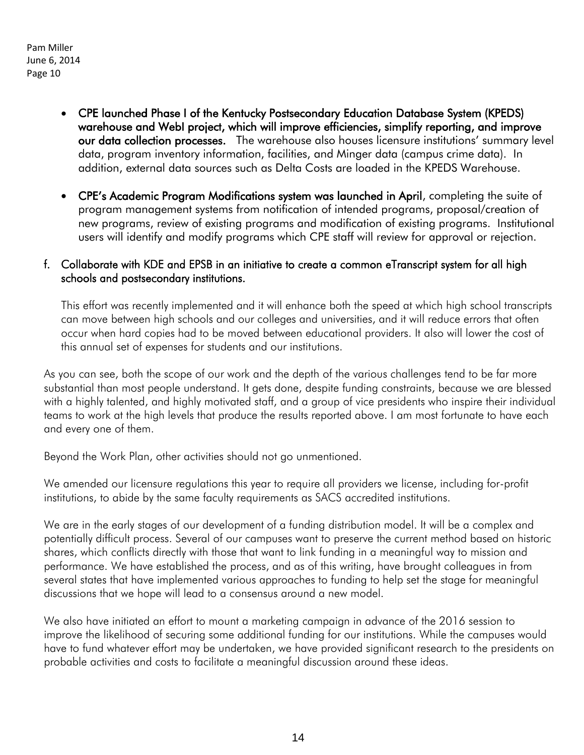- CPE launched Phase I of the Kentucky Postsecondary Education Database System (KPEDS) warehouse and WebI project, which will improve efficiencies, simplify reporting, and improve our data collection processes. The warehouse also houses licensure institutions' summary level data, program inventory information, facilities, and Minger data (campus crime data). In addition, external data sources such as Delta Costs are loaded in the KPEDS Warehouse.
- CPE's Academic Program Modifications system was launched in April, completing the suite of program management systems from notification of intended programs, proposal/creation of new programs, review of existing programs and modification of existing programs. Institutional users will identify and modify programs which CPE staff will review for approval or rejection.

#### f. Collaborate with KDE and EPSB in an initiative to create a common eTranscript system for all high schools and postsecondary institutions.

This effort was recently implemented and it will enhance both the speed at which high school transcripts can move between high schools and our colleges and universities, and it will reduce errors that often occur when hard copies had to be moved between educational providers. It also will lower the cost of this annual set of expenses for students and our institutions.

As you can see, both the scope of our work and the depth of the various challenges tend to be far more substantial than most people understand. It gets done, despite funding constraints, because we are blessed with a highly talented, and highly motivated staff, and a group of vice presidents who inspire their individual teams to work at the high levels that produce the results reported above. I am most fortunate to have each and every one of them.

Beyond the Work Plan, other activities should not go unmentioned.

We amended our licensure regulations this year to require all providers we license, including for-profit institutions, to abide by the same faculty requirements as SACS accredited institutions.

We are in the early stages of our development of a funding distribution model. It will be a complex and potentially difficult process. Several of our campuses want to preserve the current method based on historic shares, which conflicts directly with those that want to link funding in a meaningful way to mission and performance. We have established the process, and as of this writing, have brought colleagues in from several states that have implemented various approaches to funding to help set the stage for meaningful discussions that we hope will lead to a consensus around a new model.

We also have initiated an effort to mount a marketing campaign in advance of the 2016 session to improve the likelihood of securing some additional funding for our institutions. While the campuses would have to fund whatever effort may be undertaken, we have provided significant research to the presidents on probable activities and costs to facilitate a meaningful discussion around these ideas.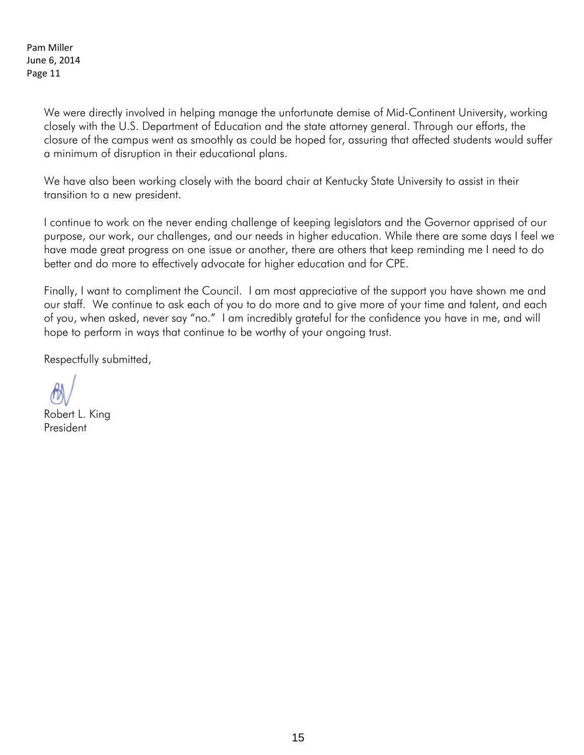> We were directly involved in helping manage the unfortunate demise of Mid-Continent University, working closely with the U.S. Department of Education and the state attorney general. Through our efforts, the closure of the campus went as smoothly as could be hoped for, assuring that affected students would suffer a minimum of disruption in their educational plans.

We have also been working closely with the board chair at Kentucky State University to assist in their transition to a new president.

I continue to work on the never ending challenge of keeping legislators and the Governor apprised of our purpose, our work, our challenges, and our needs in higher education. While there are some days I feel we have made great progress on one issue or another, there are others that keep reminding me I need to do better and do more to effectively advocate for higher education and for CPE.

Finally, I want to compliment the Council. I am most appreciative of the support you have shown me and our staff. We continue to ask each of you to do more and to give more of your time and talent, and each of you, when asked, never say "no." I am incredibly grateful for the confidence you have in me, and will hope to perform in ways that continue to be worthy of your ongoing trust.

Respectfully submitted,

Robert L. King President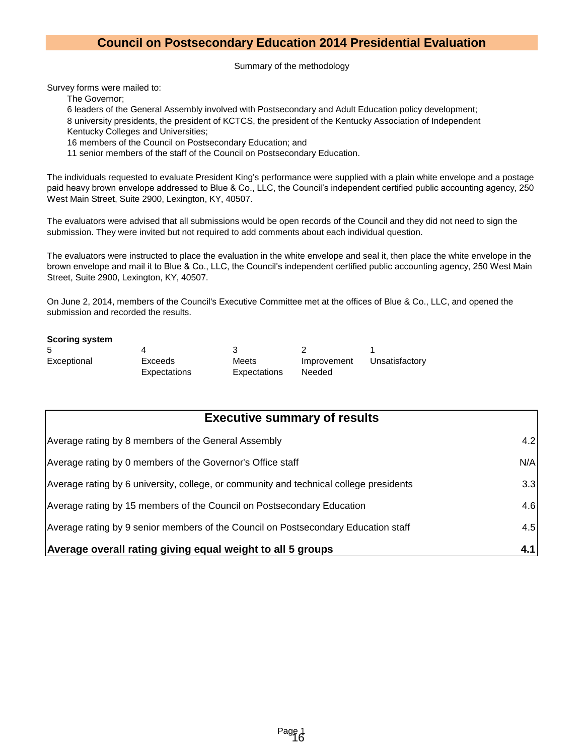#### **Council on Postsecondary Education 2014 Presidential Evaluation**

Summary of the methodology

Survey forms were mailed to:

The Governor;

6 leaders of the General Assembly involved with Postsecondary and Adult Education policy development;

8 university presidents, the president of KCTCS, the president of the Kentucky Association of Independent Kentucky Colleges and Universities;

16 members of the Council on Postsecondary Education; and

11 senior members of the staff of the Council on Postsecondary Education.

The individuals requested to evaluate President King's performance were supplied with a plain white envelope and a postage paid heavy brown envelope addressed to Blue & Co., LLC, the Council's independent certified public accounting agency, 250 West Main Street, Suite 2900, Lexington, KY, 40507.

The evaluators were advised that all submissions would be open records of the Council and they did not need to sign the submission. They were invited but not required to add comments about each individual question.

The evaluators were instructed to place the evaluation in the white envelope and seal it, then place the white envelope in the brown envelope and mail it to Blue & Co., LLC, the Council's independent certified public accounting agency, 250 West Main Street, Suite 2900, Lexington, KY, 40507.

On June 2, 2014, members of the Council's Executive Committee met at the offices of Blue & Co., LLC, and opened the submission and recorded the results.

#### **Scoring system**

| .5          |                         |                       |                       |                |
|-------------|-------------------------|-----------------------|-----------------------|----------------|
| Exceptional | Exceeds<br>Expectations | Meets<br>Expectations | Improvement<br>Needed | Unsatisfactory |

| <b>Executive summary of results</b>                                                    |     |
|----------------------------------------------------------------------------------------|-----|
| Average rating by 8 members of the General Assembly                                    | 4.2 |
| Average rating by 0 members of the Governor's Office staff                             | N/A |
| Average rating by 6 university, college, or community and technical college presidents | 3.3 |
| Average rating by 15 members of the Council on Postsecondary Education                 | 4.6 |
| Average rating by 9 senior members of the Council on Postsecondary Education staff     | 4.5 |
| Average overall rating giving equal weight to all 5 groups                             | 4.1 |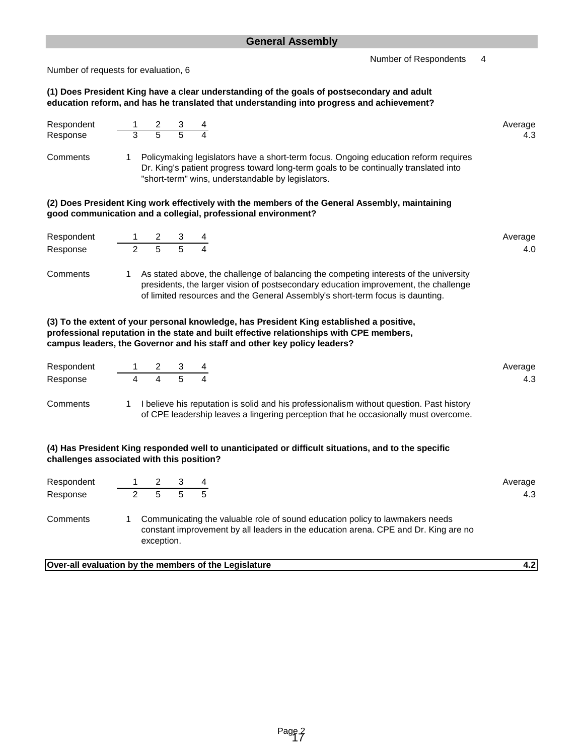Number of Respondents 4

Number of requests for evaluation, 6

#### **(1) Does President King have a clear understanding of the goals of postsecondary and adult education reform, and has he translated that understanding into progress and achievement?**

| Respondent<br>Response                                                                                                                                          |                |                                                          |  |                                                                                                                                                                                                                                                                  | Average<br>4.3 |  |  |  |  |  |  |
|-----------------------------------------------------------------------------------------------------------------------------------------------------------------|----------------|----------------------------------------------------------|--|------------------------------------------------------------------------------------------------------------------------------------------------------------------------------------------------------------------------------------------------------------------|----------------|--|--|--|--|--|--|
| Comments                                                                                                                                                        |                |                                                          |  | 1 Policymaking legislators have a short-term focus. Ongoing education reform requires<br>Dr. King's patient progress toward long-term goals to be continually translated into<br>"short-term" wins, understandable by legislators.                               |                |  |  |  |  |  |  |
| (2) Does President King work effectively with the members of the General Assembly, maintaining<br>good communication and a collegial, professional environment? |                |                                                          |  |                                                                                                                                                                                                                                                                  |                |  |  |  |  |  |  |
| Respondent                                                                                                                                                      |                |                                                          |  |                                                                                                                                                                                                                                                                  | Average        |  |  |  |  |  |  |
| Response                                                                                                                                                        |                | $\begin{array}{cccc} 1 & 2 & 3 \\ 2 & 5 & 5 \end{array}$ |  |                                                                                                                                                                                                                                                                  | 4.0            |  |  |  |  |  |  |
| Comments                                                                                                                                                        |                |                                                          |  | 1 As stated above, the challenge of balancing the competing interests of the university<br>presidents, the larger vision of postsecondary education improvement, the challenge<br>of limited resources and the General Assembly's short-term focus is daunting.  |                |  |  |  |  |  |  |
|                                                                                                                                                                 |                |                                                          |  | (3) To the extent of your personal knowledge, has President King established a positive,<br>professional reputation in the state and built effective relationships with CPE members,<br>campus leaders, the Governor and his staff and other key policy leaders? |                |  |  |  |  |  |  |
| Respondent                                                                                                                                                      |                |                                                          |  |                                                                                                                                                                                                                                                                  | Average        |  |  |  |  |  |  |
| Response                                                                                                                                                        | $\overline{4}$ | $\overline{4}$                                           |  |                                                                                                                                                                                                                                                                  | 4.3            |  |  |  |  |  |  |
| Comments                                                                                                                                                        |                |                                                          |  | 1 I believe his reputation is solid and his professionalism without question. Past history<br>of CPE leadership leaves a lingering perception that he occasionally must overcome.                                                                                |                |  |  |  |  |  |  |
| challenges associated with this position?                                                                                                                       |                |                                                          |  | (4) Has President King responded well to unanticipated or difficult situations, and to the specific                                                                                                                                                              |                |  |  |  |  |  |  |
| Respondent                                                                                                                                                      |                |                                                          |  |                                                                                                                                                                                                                                                                  | Average        |  |  |  |  |  |  |
| Response                                                                                                                                                        |                | $\frac{1}{2}$ $\frac{2}{5}$ $\frac{3}{5}$ $\frac{4}{5}$  |  |                                                                                                                                                                                                                                                                  | 4.3            |  |  |  |  |  |  |
| Comments                                                                                                                                                        | 1              | exception.                                               |  | Communicating the valuable role of sound education policy to lawmakers needs<br>constant improvement by all leaders in the education arena. CPE and Dr. King are no                                                                                              |                |  |  |  |  |  |  |

**Over-all evaluation by the members of the Legislature 4.2**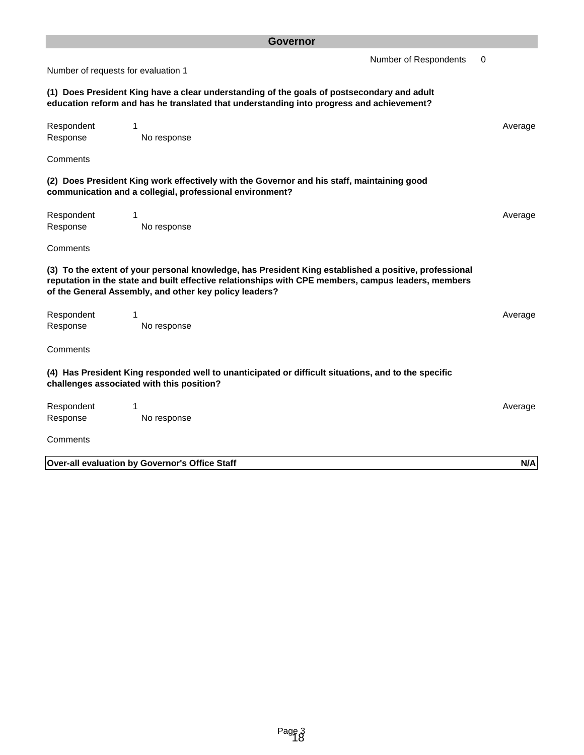|                                                                                                                                                                                        | <b>Governor</b>                                                                                                                                                                                                                                                        |                       |   |         |  |  |  |  |
|----------------------------------------------------------------------------------------------------------------------------------------------------------------------------------------|------------------------------------------------------------------------------------------------------------------------------------------------------------------------------------------------------------------------------------------------------------------------|-----------------------|---|---------|--|--|--|--|
| Number of requests for evaluation 1                                                                                                                                                    |                                                                                                                                                                                                                                                                        | Number of Respondents | 0 |         |  |  |  |  |
| (1) Does President King have a clear understanding of the goals of postsecondary and adult<br>education reform and has he translated that understanding into progress and achievement? |                                                                                                                                                                                                                                                                        |                       |   |         |  |  |  |  |
| Respondent<br>Response                                                                                                                                                                 | 1<br>No response                                                                                                                                                                                                                                                       |                       |   | Average |  |  |  |  |
| Comments                                                                                                                                                                               |                                                                                                                                                                                                                                                                        |                       |   |         |  |  |  |  |
|                                                                                                                                                                                        | (2) Does President King work effectively with the Governor and his staff, maintaining good<br>communication and a collegial, professional environment?                                                                                                                 |                       |   |         |  |  |  |  |
| Respondent<br>Response                                                                                                                                                                 | 1<br>No response                                                                                                                                                                                                                                                       |                       |   | Average |  |  |  |  |
| Comments                                                                                                                                                                               |                                                                                                                                                                                                                                                                        |                       |   |         |  |  |  |  |
|                                                                                                                                                                                        | (3) To the extent of your personal knowledge, has President King established a positive, professional<br>reputation in the state and built effective relationships with CPE members, campus leaders, members<br>of the General Assembly, and other key policy leaders? |                       |   |         |  |  |  |  |
| Respondent                                                                                                                                                                             | 1                                                                                                                                                                                                                                                                      |                       |   | Average |  |  |  |  |
| Response                                                                                                                                                                               | No response                                                                                                                                                                                                                                                            |                       |   |         |  |  |  |  |
| Comments                                                                                                                                                                               |                                                                                                                                                                                                                                                                        |                       |   |         |  |  |  |  |
|                                                                                                                                                                                        | (4) Has President King responded well to unanticipated or difficult situations, and to the specific<br>challenges associated with this position?                                                                                                                       |                       |   |         |  |  |  |  |
| Respondent                                                                                                                                                                             |                                                                                                                                                                                                                                                                        |                       |   | Average |  |  |  |  |
| Response<br>Comments                                                                                                                                                                   | No response                                                                                                                                                                                                                                                            |                       |   |         |  |  |  |  |
|                                                                                                                                                                                        | Over-all evaluation by Governor's Office Staff                                                                                                                                                                                                                         |                       |   | N/A     |  |  |  |  |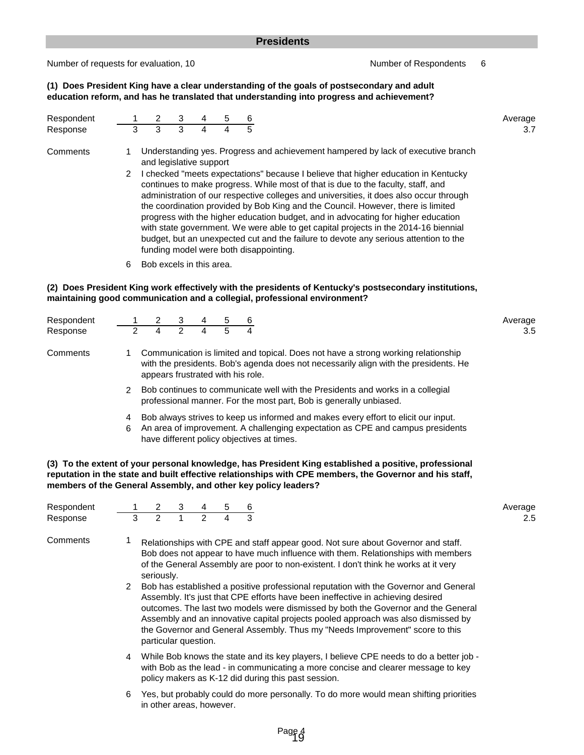#### **Presidents**

Number of requests for evaluation, 10 Number of Respondents 6

**(1) Does President King have a clear understanding of the goals of postsecondary and adult education reform, and has he translated that understanding into progress and achievement?**

| Respondent |                |                                                                                                                                                                                                 | 3 | 4 | 5 | b |                                                                                                                                                                                                                                                                                                                                                                                                                                                                                                                                                                              | Average |  |  |  |  |  |  |
|------------|----------------|-------------------------------------------------------------------------------------------------------------------------------------------------------------------------------------------------|---|---|---|---|------------------------------------------------------------------------------------------------------------------------------------------------------------------------------------------------------------------------------------------------------------------------------------------------------------------------------------------------------------------------------------------------------------------------------------------------------------------------------------------------------------------------------------------------------------------------------|---------|--|--|--|--|--|--|
| Response   | 3              | 3                                                                                                                                                                                               | 3 | 4 | Δ |   |                                                                                                                                                                                                                                                                                                                                                                                                                                                                                                                                                                              | 3.7     |  |  |  |  |  |  |
| Comments   | $\overline{2}$ | Understanding yes. Progress and achievement hampered by lack of executive branch<br>and legislative support<br>checked "meets expectations" because I believe that higher education in Kentucky |   |   |   |   |                                                                                                                                                                                                                                                                                                                                                                                                                                                                                                                                                                              |         |  |  |  |  |  |  |
|            |                |                                                                                                                                                                                                 |   |   |   |   | continues to make progress. While most of that is due to the faculty, staff, and<br>administration of our respective colleges and universities, it does also occur through<br>the coordination provided by Bob King and the Council. However, there is limited<br>progress with the higher education budget, and in advocating for higher education<br>with state government. We were able to get capital projects in the 2014-16 biennial<br>budget, but an unexpected cut and the failure to devote any serious attention to the<br>funding model were both disappointing. |         |  |  |  |  |  |  |
|            | $\sim$         | Dah awaala in this sess                                                                                                                                                                         |   |   |   |   |                                                                                                                                                                                                                                                                                                                                                                                                                                                                                                                                                                              |         |  |  |  |  |  |  |

6 Bob excels in this area.

in other areas, however.

#### **maintaining good communication and a collegial, professional environment? (2) Does President King work effectively with the presidents of Kentucky's postsecondary institutions,**

| Respondent |                                                                                                                                                                                                                                                                                                                                                                                      |                                   | 3 |                                                                                                                                                                           | 5 | 6 |  | Average |  |  |  |
|------------|--------------------------------------------------------------------------------------------------------------------------------------------------------------------------------------------------------------------------------------------------------------------------------------------------------------------------------------------------------------------------------------|-----------------------------------|---|---------------------------------------------------------------------------------------------------------------------------------------------------------------------------|---|---|--|---------|--|--|--|
| Response   |                                                                                                                                                                                                                                                                                                                                                                                      | 4                                 |   |                                                                                                                                                                           |   |   |  | 3.5     |  |  |  |
| Comments   |                                                                                                                                                                                                                                                                                                                                                                                      | appears frustrated with his role. |   | Communication is limited and topical. Does not have a strong working relationship<br>with the presidents. Bob's agenda does not necessarily align with the presidents. He |   |   |  |         |  |  |  |
|            | Bob continues to communicate well with the Presidents and works in a collegial<br>professional manner. For the most part, Bob is generally unbiased.<br>Bob always strives to keep us informed and makes every effort to elicit our input.<br>4<br>An area of improvement. A challenging expectation as CPE and campus presidents<br>6<br>have different policy objectives at times. |                                   |   |                                                                                                                                                                           |   |   |  |         |  |  |  |
|            |                                                                                                                                                                                                                                                                                                                                                                                      |                                   |   |                                                                                                                                                                           |   |   |  |         |  |  |  |

**(3) To the extent of your personal knowledge, has President King established a positive, professional reputation in the state and built effective relationships with CPE members, the Governor and his staff, members of the General Assembly, and other key policy leaders?**

| Respondent |                                                                                                                                                                                                                                                                                                                                                                | 2             | 3 | 4 | 5 | 6 |                                                                                                                                                                                                                                                                                                                                                                                                                                                                                                                                                                                                                                                                                                  | Average |  |  |
|------------|----------------------------------------------------------------------------------------------------------------------------------------------------------------------------------------------------------------------------------------------------------------------------------------------------------------------------------------------------------------|---------------|---|---|---|---|--------------------------------------------------------------------------------------------------------------------------------------------------------------------------------------------------------------------------------------------------------------------------------------------------------------------------------------------------------------------------------------------------------------------------------------------------------------------------------------------------------------------------------------------------------------------------------------------------------------------------------------------------------------------------------------------------|---------|--|--|
| Response   | 3                                                                                                                                                                                                                                                                                                                                                              | $\mathcal{P}$ |   | 2 | 4 | 3 |                                                                                                                                                                                                                                                                                                                                                                                                                                                                                                                                                                                                                                                                                                  | 2.5     |  |  |
| Comments   | 2                                                                                                                                                                                                                                                                                                                                                              | seriously.    |   |   |   |   | Relationships with CPE and staff appear good. Not sure about Governor and staff.<br>Bob does not appear to have much influence with them. Relationships with members<br>of the General Assembly are poor to non-existent. I don't think he works at it very<br>Bob has established a positive professional reputation with the Governor and General<br>Assembly. It's just that CPE efforts have been ineffective in achieving desired<br>outcomes. The last two models were dismissed by both the Governor and the General<br>Assembly and an innovative capital projects pooled approach was also dismissed by<br>the Governor and General Assembly. Thus my "Needs Improvement" score to this |         |  |  |
|            | particular question.<br>While Bob knows the state and its key players, I believe CPE needs to do a better job -<br>4<br>with Bob as the lead - in communicating a more concise and clearer message to key<br>policy makers as K-12 did during this past session.<br>Yes, but probably could do more personally. To do more would mean shifting priorities<br>6 |               |   |   |   |   |                                                                                                                                                                                                                                                                                                                                                                                                                                                                                                                                                                                                                                                                                                  |         |  |  |
|            |                                                                                                                                                                                                                                                                                                                                                                |               |   |   |   |   |                                                                                                                                                                                                                                                                                                                                                                                                                                                                                                                                                                                                                                                                                                  |         |  |  |

Page 4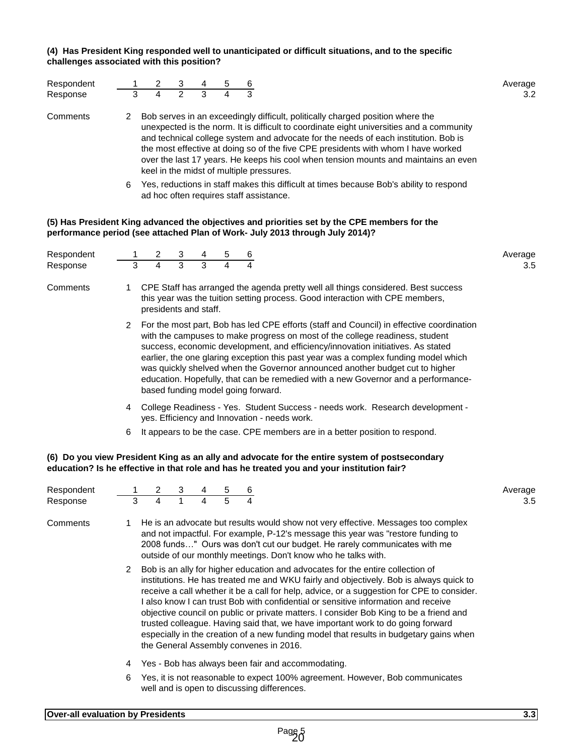#### **(4) Has President King responded well to unanticipated or difficult situations, and to the specific challenges associated with this position?**

| Respondent |   |                                                                                                                                    | 3 | 4 |  |                                          | Average                                                                                                                                                                                                                                                                                                                                                                                                                                       |  |  |  |  |
|------------|---|------------------------------------------------------------------------------------------------------------------------------------|---|---|--|------------------------------------------|-----------------------------------------------------------------------------------------------------------------------------------------------------------------------------------------------------------------------------------------------------------------------------------------------------------------------------------------------------------------------------------------------------------------------------------------------|--|--|--|--|
| Response   |   | 4                                                                                                                                  | 2 | 3 |  |                                          | 3.2                                                                                                                                                                                                                                                                                                                                                                                                                                           |  |  |  |  |
| Comments   | 2 |                                                                                                                                    |   |   |  | keel in the midst of multiple pressures. | Bob serves in an exceedingly difficult, politically charged position where the<br>unexpected is the norm. It is difficult to coordinate eight universities and a community<br>and technical college system and advocate for the needs of each institution. Bob is<br>the most effective at doing so of the five CPE presidents with whom I have worked<br>over the last 17 years. He keeps his cool when tension mounts and maintains an even |  |  |  |  |
|            | 6 | Yes, reductions in staff makes this difficult at times because Bob's ability to respond<br>ad hoc often requires staff assistance. |   |   |  |                                          |                                                                                                                                                                                                                                                                                                                                                                                                                                               |  |  |  |  |

#### **(5) Has President King advanced the objectives and priorities set by the CPE members for the performance period (see attached Plan of Work- July 2013 through July 2014)?**

| Respondent |   |                                                                                                                                                                                             | 3 |   | 5 | 6 |                                                                                                                                                                                                                                                                                                                                                                                                                                                                                                                         | Average |  |  |  |  |  |  |  |
|------------|---|---------------------------------------------------------------------------------------------------------------------------------------------------------------------------------------------|---|---|---|---|-------------------------------------------------------------------------------------------------------------------------------------------------------------------------------------------------------------------------------------------------------------------------------------------------------------------------------------------------------------------------------------------------------------------------------------------------------------------------------------------------------------------------|---------|--|--|--|--|--|--|--|
| Response   | 3 | 4                                                                                                                                                                                           | 3 | 3 |   |   |                                                                                                                                                                                                                                                                                                                                                                                                                                                                                                                         | 3.5     |  |  |  |  |  |  |  |
| Comments   |   | CPE Staff has arranged the agenda pretty well all things considered. Best success<br>this year was the tuition setting process. Good interaction with CPE members,<br>presidents and staff. |   |   |   |   |                                                                                                                                                                                                                                                                                                                                                                                                                                                                                                                         |         |  |  |  |  |  |  |  |
|            |   | based funding model going forward.                                                                                                                                                          |   |   |   |   | For the most part, Bob has led CPE efforts (staff and Council) in effective coordination<br>with the campuses to make progress on most of the college readiness, student<br>success, economic development, and efficiency/innovation initiatives. As stated<br>earlier, the one glaring exception this past year was a complex funding model which<br>was quickly shelved when the Governor announced another budget cut to higher<br>education. Hopefully, that can be remedied with a new Governor and a performance- |         |  |  |  |  |  |  |  |
|            | 4 |                                                                                                                                                                                             |   |   |   |   | College Readiness - Yes. Student Success - needs work. Research development -<br>yes. Efficiency and Innovation - needs work.                                                                                                                                                                                                                                                                                                                                                                                           |         |  |  |  |  |  |  |  |

6 It appears to be the case. CPE members are in a better position to respond.

#### **(6) Do you view President King as an ally and advocate for the entire system of postsecondary education? Is he effective in that role and has he treated you and your institution fair?**

| Respondent |                                                                                                                                   | $\overline{2}$                                                                                                                                                                                                                                                                                                                                                                                                                                                                                                                                                                                                                                                                | 3 | 4 | 5 | 6 |                                                                                                                                                                                                                                                                                                                      | Average |  |  |  |  |  |
|------------|-----------------------------------------------------------------------------------------------------------------------------------|-------------------------------------------------------------------------------------------------------------------------------------------------------------------------------------------------------------------------------------------------------------------------------------------------------------------------------------------------------------------------------------------------------------------------------------------------------------------------------------------------------------------------------------------------------------------------------------------------------------------------------------------------------------------------------|---|---|---|---|----------------------------------------------------------------------------------------------------------------------------------------------------------------------------------------------------------------------------------------------------------------------------------------------------------------------|---------|--|--|--|--|--|
| Response   | 3                                                                                                                                 | 4                                                                                                                                                                                                                                                                                                                                                                                                                                                                                                                                                                                                                                                                             |   | 4 | 5 |   |                                                                                                                                                                                                                                                                                                                      | 3.5     |  |  |  |  |  |
| Comments   |                                                                                                                                   |                                                                                                                                                                                                                                                                                                                                                                                                                                                                                                                                                                                                                                                                               |   |   |   |   | He is an advocate but results would show not very effective. Messages too complex<br>and not impactful. For example, P-12's message this year was "restore funding to<br>2008 funds" Ours was don't cut our budget. He rarely communicates with me<br>outside of our monthly meetings. Don't know who he talks with. |         |  |  |  |  |  |
|            | 2                                                                                                                                 | Bob is an ally for higher education and advocates for the entire collection of<br>institutions. He has treated me and WKU fairly and objectively. Bob is always quick to<br>receive a call whether it be a call for help, advice, or a suggestion for CPE to consider.<br>I also know I can trust Bob with confidential or sensitive information and receive<br>objective council on public or private matters. I consider Bob King to be a friend and<br>trusted colleague. Having said that, we have important work to do going forward<br>especially in the creation of a new funding model that results in budgetary gains when<br>the General Assembly convenes in 2016. |   |   |   |   |                                                                                                                                                                                                                                                                                                                      |         |  |  |  |  |  |
|            | 4                                                                                                                                 | Yes - Bob has always been fair and accommodating.                                                                                                                                                                                                                                                                                                                                                                                                                                                                                                                                                                                                                             |   |   |   |   |                                                                                                                                                                                                                                                                                                                      |         |  |  |  |  |  |
|            | Yes, it is not reasonable to expect 100% agreement. However, Bob communicates<br>6<br>well and is open to discussing differences. |                                                                                                                                                                                                                                                                                                                                                                                                                                                                                                                                                                                                                                                                               |   |   |   |   |                                                                                                                                                                                                                                                                                                                      |         |  |  |  |  |  |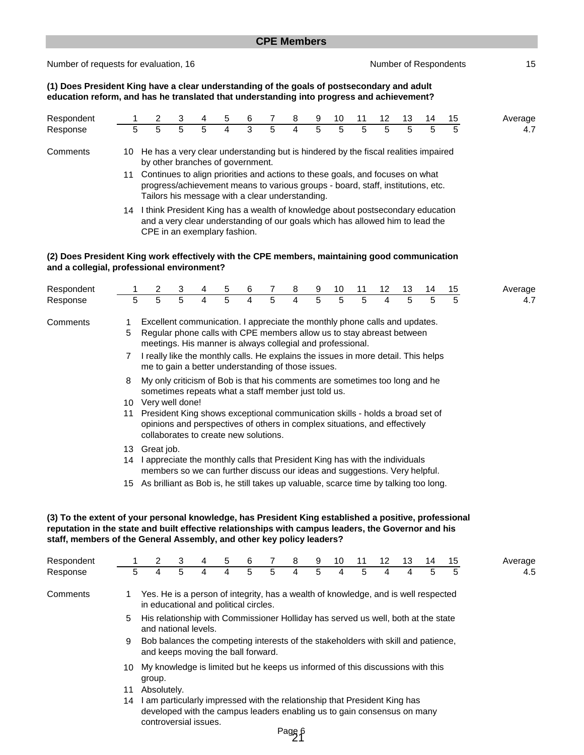| <b>CPE Members</b> |  |  |
|--------------------|--|--|
|--------------------|--|--|

Number of requests for evaluation, 16 Number of Respondents 15

**(1) Does President King have a clear understanding of the goals of postsecondary and adult education reform, and has he translated that understanding into progress and achievement?**

| Respondent |                                                                                                                                                                                                                           |                                                                                                                                                                                                 | 3 |    | 5 | 6 |   | 8 | 9 | 10 | 11 | 12 | 13 | 14 | 15 | Average |
|------------|---------------------------------------------------------------------------------------------------------------------------------------------------------------------------------------------------------------------------|-------------------------------------------------------------------------------------------------------------------------------------------------------------------------------------------------|---|----|---|---|---|---|---|----|----|----|----|----|----|---------|
| Response   | 5                                                                                                                                                                                                                         | 5                                                                                                                                                                                               | 5 | 5. |   | 3 | 5 | 4 |   | 5  | 5  | 5  |    | 5  | 5  | 4.7     |
| Comments   | 10                                                                                                                                                                                                                        | He has a very clear understanding but is hindered by the fiscal realities impaired<br>by other branches of government.                                                                          |   |    |   |   |   |   |   |    |    |    |    |    |    |         |
|            | Continues to align priorities and actions to these goals, and focuses on what<br>11<br>progress/achievement means to various groups - board, staff, institutions, etc.<br>Tailors his message with a clear understanding. |                                                                                                                                                                                                 |   |    |   |   |   |   |   |    |    |    |    |    |    |         |
|            | 14                                                                                                                                                                                                                        | I think President King has a wealth of knowledge about postsecondary education<br>and a very clear understanding of our goals which has allowed him to lead the<br>CPE in an exemplary fashion. |   |    |   |   |   |   |   |    |    |    |    |    |    |         |

#### **(2) Does President King work effectively with the CPE members, maintaining good communication and a collegial, professional environment?**

| Respondent |                                                                                                                                                                                                                                                                                                                                                                         |                                                                                                                                                                                                                                                                                                                                                              | 3 | 4 | 5 | 6 |   | 8 | 9 | 10 | 11 | 12 | 13 | 14 | 15 | Average |
|------------|-------------------------------------------------------------------------------------------------------------------------------------------------------------------------------------------------------------------------------------------------------------------------------------------------------------------------------------------------------------------------|--------------------------------------------------------------------------------------------------------------------------------------------------------------------------------------------------------------------------------------------------------------------------------------------------------------------------------------------------------------|---|---|---|---|---|---|---|----|----|----|----|----|----|---------|
| Response   | 5                                                                                                                                                                                                                                                                                                                                                                       | 5                                                                                                                                                                                                                                                                                                                                                            | 5 | 4 | 5 | 4 | 5 | 4 | 5 | 5  | 5  | 4  | 5  | 5  | 5  | 4.7     |
| Comments   | Excellent communication. I appreciate the monthly phone calls and updates.<br>Regular phone calls with CPE members allow us to stay abreast between<br>5<br>meetings. His manner is always collegial and professional.<br>I really like the monthly calls. He explains the issues in more detail. This helps<br>7<br>me to gain a better understanding of those issues. |                                                                                                                                                                                                                                                                                                                                                              |   |   |   |   |   |   |   |    |    |    |    |    |    |         |
|            | 8<br>10<br>11                                                                                                                                                                                                                                                                                                                                                           | My only criticism of Bob is that his comments are sometimes too long and he<br>sometimes repeats what a staff member just told us.<br>Very well done!<br>President King shows exceptional communication skills - holds a broad set of<br>opinions and perspectives of others in complex situations, and effectively<br>collaborates to create new solutions. |   |   |   |   |   |   |   |    |    |    |    |    |    |         |
|            | 13<br>14<br>15                                                                                                                                                                                                                                                                                                                                                          | Great job.<br>I appreciate the monthly calls that President King has with the individuals<br>members so we can further discuss our ideas and suggestions. Very helpful.<br>As brilliant as Bob is, he still takes up valuable, scarce time by talking too long.                                                                                              |   |   |   |   |   |   |   |    |    |    |    |    |    |         |

#### **(3) To the extent of your personal knowledge, has President King established a positive, professional reputation in the state and built effective relationships with campus leaders, the Governor and his staff, members of the General Assembly, and other key policy leaders?**

| Respondent |     | 2                                                                                                                                                                             | 3 | 4 | 5 | 6 |   | 8 | 9 | 10 | 11 | 12 | 13 | 14 | 15 | Average |
|------------|-----|-------------------------------------------------------------------------------------------------------------------------------------------------------------------------------|---|---|---|---|---|---|---|----|----|----|----|----|----|---------|
| Response   | 5   | 4                                                                                                                                                                             | 5 | 4 | 4 | 5 | 5 | 4 | 5 | 4  | 5  | 4  | 4  | 5  | 5  | 4.5     |
| Comments   |     | Yes. He is a person of integrity, has a wealth of knowledge, and is well respected<br>in educational and political circles.                                                   |   |   |   |   |   |   |   |    |    |    |    |    |    |         |
|            | 5   | His relationship with Commissioner Holliday has served us well, both at the state<br>and national levels.                                                                     |   |   |   |   |   |   |   |    |    |    |    |    |    |         |
|            | 9   | Bob balances the competing interests of the stakeholders with skill and patience,<br>and keeps moving the ball forward.                                                       |   |   |   |   |   |   |   |    |    |    |    |    |    |         |
|            | 10. | My knowledge is limited but he keeps us informed of this discussions with this<br>group.                                                                                      |   |   |   |   |   |   |   |    |    |    |    |    |    |         |
|            | 11  | Absolutely.                                                                                                                                                                   |   |   |   |   |   |   |   |    |    |    |    |    |    |         |
|            | 14  | I am particularly impressed with the relationship that President King has<br>developed with the campus leaders enabling us to gain consensus on many<br>controversial issues. |   |   |   |   |   |   |   |    |    |    |    |    |    |         |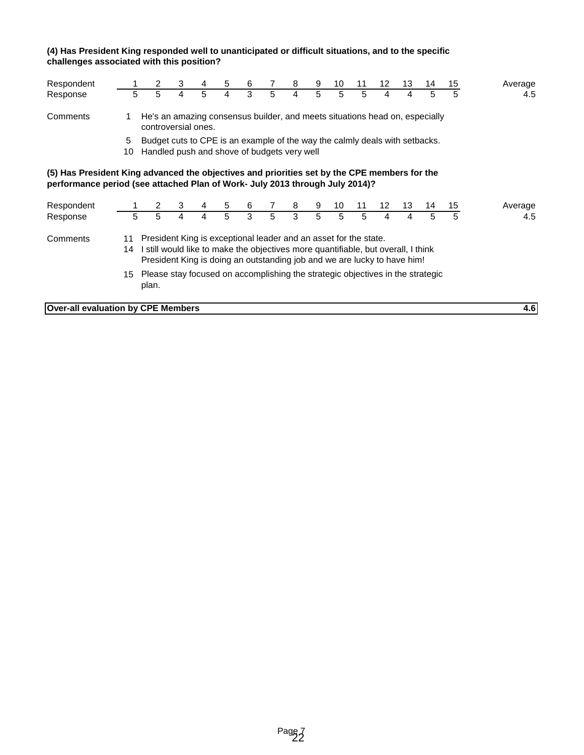#### **(4) Has President King responded well to unanticipated or difficult situations, and to the specific challenges associated with this position?**

| Respondent                                                                                                                                                                   |                                                                                                                                                                                                                                                                                                                                                |                                                                                                                            | 3 | 4 | 5 | 6 | 7 | 8 | 9 | 10 |    | 12  | 13 | 14 | 15 | Average |
|------------------------------------------------------------------------------------------------------------------------------------------------------------------------------|------------------------------------------------------------------------------------------------------------------------------------------------------------------------------------------------------------------------------------------------------------------------------------------------------------------------------------------------|----------------------------------------------------------------------------------------------------------------------------|---|---|---|---|---|---|---|----|----|-----|----|----|----|---------|
| Response                                                                                                                                                                     | 5                                                                                                                                                                                                                                                                                                                                              | 5                                                                                                                          | 4 | 5 | 4 | 3 | 5 | 4 | 5 | 5  | 5  | 4   | 4  | 5  | 5  | 4.5     |
| Comments                                                                                                                                                                     | He's an amazing consensus builder, and meets situations head on, especially<br>controversial ones.                                                                                                                                                                                                                                             |                                                                                                                            |   |   |   |   |   |   |   |    |    |     |    |    |    |         |
|                                                                                                                                                                              | 5<br>10                                                                                                                                                                                                                                                                                                                                        | Budget cuts to CPE is an example of the way the calmly deals with setbacks.<br>Handled push and shove of budgets very well |   |   |   |   |   |   |   |    |    |     |    |    |    |         |
| (5) Has President King advanced the objectives and priorities set by the CPE members for the<br>performance period (see attached Plan of Work- July 2013 through July 2014)? |                                                                                                                                                                                                                                                                                                                                                |                                                                                                                            |   |   |   |   |   |   |   |    |    |     |    |    |    |         |
| Respondent                                                                                                                                                                   |                                                                                                                                                                                                                                                                                                                                                |                                                                                                                            | 3 |   | 5 | 6 |   | 8 | 9 | 10 | 11 | 12. | 13 | 14 | 15 | Average |
| Response                                                                                                                                                                     | 5                                                                                                                                                                                                                                                                                                                                              | 5                                                                                                                          | 4 | 4 | 5 | 3 | 5 | 3 | 5 | 5  | 5  | 4   | 4  | 5  | 5  | 4.5     |
| Comments                                                                                                                                                                     | President King is exceptional leader and an asset for the state.<br>11<br>I still would like to make the objectives more quantifiable, but overall, I think<br>14<br>President King is doing an outstanding job and we are lucky to have him!<br>Please stay focused on accomplishing the strategic objectives in the strategic<br>15<br>plan. |                                                                                                                            |   |   |   |   |   |   |   |    |    |     |    |    |    |         |

**Over-all evaluation by CPE Members 4.6**